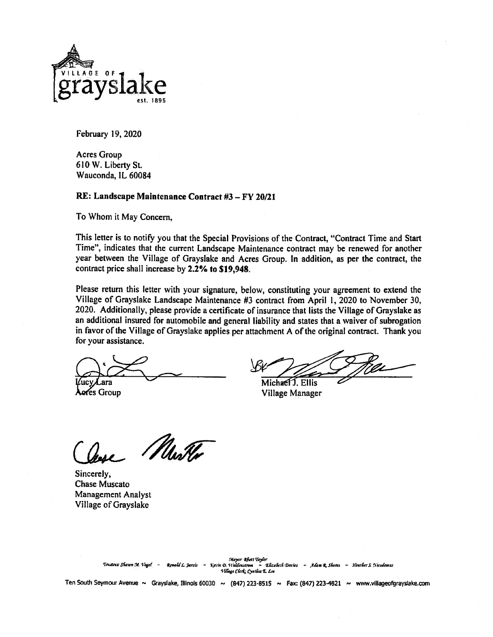

February 19, 2020

**Acres Group** 610 W. Liberty St. Wauconda, IL 60084

## RE: Landscape Maintenance Contract #3 - FY 20/21

To Whom it May Concern,

This letter is to notify you that the Special Provisions of the Contract, "Contract Time and Start Time", indicates that the current Landscape Maintenance contract may be renewed for another year between the Village of Grayslake and Acres Group. In addition, as per the contract, the contract price shall increase by 2.2% to \$19,948.

Please return this letter with your signature, below, constituting your agreement to extend the Village of Grayslake Landscape Maintenance #3 contract from April 1, 2020 to November 30, 2020. Additionally, please provide a certificate of insurance that lists the Village of Grayslake as an additional insured for automobile and general liability and states that a waiver of subrogation in favor of the Village of Grayslake applies per attachment A of the original contract. Thank you for your assistance.

Lara

Aeres Group

Michael J. Ellis

Village Manager

Muster

Sincerely, **Chase Muscato Management Analyst** Village of Grayslake

Mayor Qhett Taylor<br>Ronald L. Jarvis – Krvin D. Waldenstrom – Elizabeth Davies – Adam R. Shores – Heather S. Nicolemus<br>Village Clerk: Cynthia E. Lee Trustees: Shawn St. Vogel

Ten South Seymour Avenue ~ Grayslake, Illinois 60030 ~ (847) 223-8515 ~ Fax: (847) 223-4821 ~ www.villageofgrayslake.com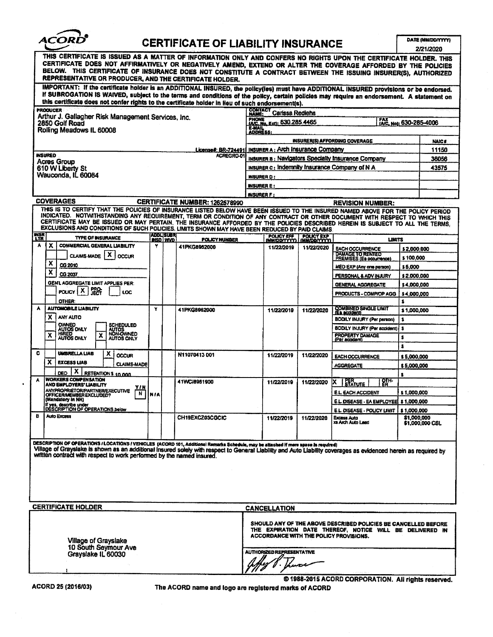

# **CERTIFICATE OF LIABILITY INSURANCE**

DATE (MM/DD/YYYY) .......

| IMPORTANT: If the certificate holder is an ADDITIONAL INSURED, the policy(ies) must have ADDITIONAL INSURED provisions or be endorsed.<br>If SUBROGATION IS WAIVED, subject to the terms and conditions of the policy, certain policies may require an endorsement. A statement on<br>this certificate does not confer rights to the certificate holder in Heu of such endorsement(s).<br>PRODUCER<br><b>CONTACT Carlssa Rediehs</b><br>Arthur J. Gallagher Risk Management Services, Inc.<br>PHONE<br>FAY<br>IAIC. No. Ext): 630.285.4465<br>[AC, No); 630-285-4006<br>2850 Golf Road<br><b>E-MAIL<br/>ADDRESS:</b><br>Rolling Meadows IL 60008<br>INSURER(S) AFFORDING COVERAGE<br><b>INSURER A: Arch Insurance Company</b><br><u> License#: BR-724491</u><br><b>INSURED</b><br>ACREGRO-01<br><b>INSURER B: Navigators Specialty Insurance Company</b><br><b>Acres Group</b><br><b>INSURER c: Indemnity Insurance Company of N A</b><br>610 W Liberty St<br>Wauconda. IL 60084<br><b>INSURER D:</b> | <b>NAIC#</b><br>11150<br>36056<br>43575 |  |  |
|-------------------------------------------------------------------------------------------------------------------------------------------------------------------------------------------------------------------------------------------------------------------------------------------------------------------------------------------------------------------------------------------------------------------------------------------------------------------------------------------------------------------------------------------------------------------------------------------------------------------------------------------------------------------------------------------------------------------------------------------------------------------------------------------------------------------------------------------------------------------------------------------------------------------------------------------------------------------------------------------------------|-----------------------------------------|--|--|
|                                                                                                                                                                                                                                                                                                                                                                                                                                                                                                                                                                                                                                                                                                                                                                                                                                                                                                                                                                                                       |                                         |  |  |
|                                                                                                                                                                                                                                                                                                                                                                                                                                                                                                                                                                                                                                                                                                                                                                                                                                                                                                                                                                                                       |                                         |  |  |
|                                                                                                                                                                                                                                                                                                                                                                                                                                                                                                                                                                                                                                                                                                                                                                                                                                                                                                                                                                                                       |                                         |  |  |
|                                                                                                                                                                                                                                                                                                                                                                                                                                                                                                                                                                                                                                                                                                                                                                                                                                                                                                                                                                                                       |                                         |  |  |
|                                                                                                                                                                                                                                                                                                                                                                                                                                                                                                                                                                                                                                                                                                                                                                                                                                                                                                                                                                                                       |                                         |  |  |
|                                                                                                                                                                                                                                                                                                                                                                                                                                                                                                                                                                                                                                                                                                                                                                                                                                                                                                                                                                                                       |                                         |  |  |
|                                                                                                                                                                                                                                                                                                                                                                                                                                                                                                                                                                                                                                                                                                                                                                                                                                                                                                                                                                                                       |                                         |  |  |
|                                                                                                                                                                                                                                                                                                                                                                                                                                                                                                                                                                                                                                                                                                                                                                                                                                                                                                                                                                                                       |                                         |  |  |
|                                                                                                                                                                                                                                                                                                                                                                                                                                                                                                                                                                                                                                                                                                                                                                                                                                                                                                                                                                                                       |                                         |  |  |
| <b>INSURERE:</b>                                                                                                                                                                                                                                                                                                                                                                                                                                                                                                                                                                                                                                                                                                                                                                                                                                                                                                                                                                                      |                                         |  |  |
| <b>INSURER F:</b>                                                                                                                                                                                                                                                                                                                                                                                                                                                                                                                                                                                                                                                                                                                                                                                                                                                                                                                                                                                     |                                         |  |  |
| <b>COVERAGES</b><br>CERTIFICATE NUMBER: 1262578990<br><b>REVISION NUMBER:</b>                                                                                                                                                                                                                                                                                                                                                                                                                                                                                                                                                                                                                                                                                                                                                                                                                                                                                                                         |                                         |  |  |
| THIS IS TO CERTIFY THAT THE POLICIES OF INSURANCE LISTED BELOW HAVE BEEN ISSUED TO THE INSURED NAMED ABOVE FOR THE POLICY PERIOD<br>INDICATED. NOTWITHSTANDING ANY REQUIREMENT, TERM OR CONDITION OF ANY CONTRACT OR OTHER DOCUMENT WITH RESPECT TO WHICH THIS<br>CERTIFICATE MAY BE ISSUED OR MAY PERTAIN, THE INSURANCE AFFORDED BY THE POLICIES DESCRIBED HEREIN IS SUBJECT TO ALL THE TERMS,<br>EXCLUSIONS AND CONDITIONS OF SUCH POLICIES, LIMITS SHOWN MAY HAVE BEEN REDUCED BY PAID CLAIMS.<br><b>INSR</b><br>LTR<br>ADALISUARI<br><b>POLICY EXP</b><br>POLICY EFF<br><b>TYPE OF INSURANCE</b>                                                                                                                                                                                                                                                                                                                                                                                                 |                                         |  |  |
| <b>POLICY MUMBER</b><br>LIMITS<br>INSD WVD<br><b>MMDDIYYYY)</b><br><b>IMMIDDIYYYYI</b><br>х<br><b>COMMERCIAL GENERAL LIABILITY</b><br>A<br>۷<br>41PKG8982000<br>11/22/2019<br>11/22/2020                                                                                                                                                                                                                                                                                                                                                                                                                                                                                                                                                                                                                                                                                                                                                                                                              |                                         |  |  |
| <b>EACH OCCURRENCE</b><br>\$2,000,000<br><b>DAMAGE TO RENTED</b><br>CLAIMS-MADE   X<br><b>OCCUR</b><br>\$100,000                                                                                                                                                                                                                                                                                                                                                                                                                                                                                                                                                                                                                                                                                                                                                                                                                                                                                      |                                         |  |  |
| PREMISES (Es occurrence)<br>x<br>CG 2010<br>\$5,000<br><b>MED EXP (Any one person)</b>                                                                                                                                                                                                                                                                                                                                                                                                                                                                                                                                                                                                                                                                                                                                                                                                                                                                                                                |                                         |  |  |
| X<br>CG 2037<br>PERSONAL & ADV INJURY<br>\$2,000,000                                                                                                                                                                                                                                                                                                                                                                                                                                                                                                                                                                                                                                                                                                                                                                                                                                                                                                                                                  |                                         |  |  |
| <b>GENL AGGREGATE LIMIT APPLIES PER:</b><br>\$4,000,000<br>GENERAL AGGREGATE                                                                                                                                                                                                                                                                                                                                                                                                                                                                                                                                                                                                                                                                                                                                                                                                                                                                                                                          |                                         |  |  |
| <b>FRO-</b><br>POLICY   X<br>LOC<br>PRODUCTS - COMP/OP AGG  <br>\$4,000,000                                                                                                                                                                                                                                                                                                                                                                                                                                                                                                                                                                                                                                                                                                                                                                                                                                                                                                                           |                                         |  |  |
| OTHER:<br>s                                                                                                                                                                                                                                                                                                                                                                                                                                                                                                                                                                                                                                                                                                                                                                                                                                                                                                                                                                                           |                                         |  |  |
| <b>AUTOMOBILE LIABILITY</b><br><b>COMBINED SINGLE LIMIT</b><br>(Ea accident)<br>۸<br>Y<br>41PKG8962000<br>\$1,000,000<br>11/22/2019<br>11/22/2020                                                                                                                                                                                                                                                                                                                                                                                                                                                                                                                                                                                                                                                                                                                                                                                                                                                     |                                         |  |  |
| ANY AUTO<br>x<br>BODILY INJURY (Per person)<br>s                                                                                                                                                                                                                                                                                                                                                                                                                                                                                                                                                                                                                                                                                                                                                                                                                                                                                                                                                      |                                         |  |  |
| OWNED<br>SCHEDULED<br>BODILY INJURY (Per accident)   \$<br>AUTOS ONLY                                                                                                                                                                                                                                                                                                                                                                                                                                                                                                                                                                                                                                                                                                                                                                                                                                                                                                                                 |                                         |  |  |
| AUTOS<br>NON-OWNED<br>HIRED<br>x<br><b>PROPERTY DAMAGE</b><br>(Par accident)<br>x<br>s.<br><b>AUTOS ONLY</b><br><b>AUTOS ONLY</b>                                                                                                                                                                                                                                                                                                                                                                                                                                                                                                                                                                                                                                                                                                                                                                                                                                                                     |                                         |  |  |
| s                                                                                                                                                                                                                                                                                                                                                                                                                                                                                                                                                                                                                                                                                                                                                                                                                                                                                                                                                                                                     |                                         |  |  |
| c<br><b>UMBRELLA LIAB</b><br>x<br>N11070413001<br><b>OCCUR</b><br>11/22/2019<br>11/22/2020<br><b>EACH OCCURRENCE</b><br>\$5,000,000                                                                                                                                                                                                                                                                                                                                                                                                                                                                                                                                                                                                                                                                                                                                                                                                                                                                   |                                         |  |  |
| x<br><b>EXCESS LIAB</b><br><b>CLAIMS-MADE</b><br><b>AGGREGATE</b><br>\$5,000,000                                                                                                                                                                                                                                                                                                                                                                                                                                                                                                                                                                                                                                                                                                                                                                                                                                                                                                                      |                                         |  |  |
| $X$ RETENTIONS 10,000<br><b>DED</b><br>5                                                                                                                                                                                                                                                                                                                                                                                                                                                                                                                                                                                                                                                                                                                                                                                                                                                                                                                                                              |                                         |  |  |
| <b>WORKERS COMPENSATION</b><br>A<br>$\frac{\partial \Pi}{\partial \theta}$<br>41WC18961900<br><b>ERR</b><br>Statute<br>11/22/2020<br>IX.<br>11/22/2019<br>AND EMPLOYERS' LIABILITY                                                                                                                                                                                                                                                                                                                                                                                                                                                                                                                                                                                                                                                                                                                                                                                                                    |                                         |  |  |
| Y/N<br><b>ANYPROPRIETOR/PARTNER/EXECUTIVE</b><br><b>E.L. EACH ACCIDENT</b><br>\$1,000,000<br>N<br>OFFICER/MEMBER EXCLUDED?<br><b>N/A</b>                                                                                                                                                                                                                                                                                                                                                                                                                                                                                                                                                                                                                                                                                                                                                                                                                                                              |                                         |  |  |
| (Mandatory in NH)<br>E.L. DISEASE - EA EMPLOYEE \$1,000,000                                                                                                                                                                                                                                                                                                                                                                                                                                                                                                                                                                                                                                                                                                                                                                                                                                                                                                                                           |                                         |  |  |
| If yes, describe under<br>OF OPERATIONS below<br>E.L. DISEASE - POLICY LIMIT   \$1,000,000                                                                                                                                                                                                                                                                                                                                                                                                                                                                                                                                                                                                                                                                                                                                                                                                                                                                                                            |                                         |  |  |
| в<br>Auto Excess<br>CH19EXCZ03CGCIC<br>\$1,000.000<br>11/22/2019<br>11/22/2020<br>Excess Auto<br>xs Arch Auto Lead                                                                                                                                                                                                                                                                                                                                                                                                                                                                                                                                                                                                                                                                                                                                                                                                                                                                                    | \$1,000,000 CSL                         |  |  |
| DESCRIPTION OF OPERATIONS / LOCATIONS / VEHICLES (ACORD 101, Additional Remarks Schedule, may be attached if more space is required)<br>Village of Grayslake is shown as an additional insured solely with respect to General Liability and Auto Liability coverages as evidenced herein as required by<br>written contract with respect to work performed by the named insured.                                                                                                                                                                                                                                                                                                                                                                                                                                                                                                                                                                                                                      |                                         |  |  |
| <b>CERTIFICATE HOLDER</b><br><b>CANCELLATION</b>                                                                                                                                                                                                                                                                                                                                                                                                                                                                                                                                                                                                                                                                                                                                                                                                                                                                                                                                                      |                                         |  |  |
| SHOULD ANY OF THE ABOVE DESCRIBED POLICIES BE CANCELLED BEFORE<br>THE EXPIRATION DATE THEREOF, NOTICE WILL BE DELIVERED IN<br>ACCORDANCE WITH THE POLICY PROVISIONS.<br><b>Village of Grayslake</b><br>10 South Seymour Ave<br>AUTHORIZED REPRESENTATIVE<br>Grayslake IL 60030                                                                                                                                                                                                                                                                                                                                                                                                                                                                                                                                                                                                                                                                                                                        |                                         |  |  |
|                                                                                                                                                                                                                                                                                                                                                                                                                                                                                                                                                                                                                                                                                                                                                                                                                                                                                                                                                                                                       |                                         |  |  |
| @1988-2015 ACORD CORPORATION. All rights reserved.                                                                                                                                                                                                                                                                                                                                                                                                                                                                                                                                                                                                                                                                                                                                                                                                                                                                                                                                                    |                                         |  |  |

ACORD 25 (2016/03)

 $\ddot{\phantom{0}}$ 

The ACORD name and logo are registered marks of ACORD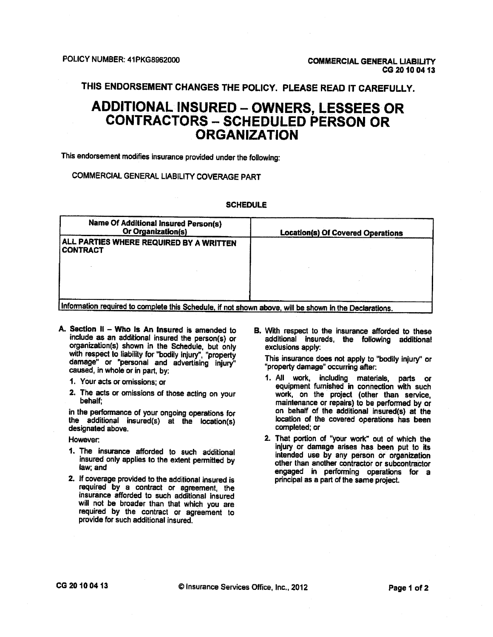THIS ENDORSEMENT CHANGES THE POLICY. PLEASE READ IT CAREFULLY.

## **ADDITIONAL INSURED - OWNERS, LESSEES OR CONTRACTORS - SCHEDULED PERSON OR ORGANIZATION**

This endorsement modifies insurance provided under the following:

### COMMERCIAL GENERAL LIABILITY COVERAGE PART

#### **SCHEDULE**

| <b>Name Of Additional Insured Person(s)</b><br><b>Or Organization(s)</b>                             | <b>Location(s) Of Covered Operations</b> |
|------------------------------------------------------------------------------------------------------|------------------------------------------|
| ALL PARTIES WHERE REQUIRED BY A WRITTEN<br><b>CONTRACT</b>                                           |                                          |
|                                                                                                      |                                          |
|                                                                                                      |                                          |
| Information required to complete this Schedule. if not shown above will be shown in the Declarations |                                          |

- A. Section II Who Is An Insured is amended to include as an additional insured the person(s) or organization(s) shown in the Schedule, but only with respect to liability for "bodily injury", "property damage" or "personal and advertising injury" caused, in whole or in part, by:
	- 1. Your acts or omissions; or
	- 2. The acts or omissions of those acting on your behalf:

in the performance of your ongoing operations for the additional insured(s) at the location(s) designated above.

However:

- 1. The insurance afforded to such additional insured only applies to the extent permitted by law: and
- 2. If coverage provided to the additional insured is required by a contract or agreement, the insurance afforded to such additional insured will not be broader than that which you are required by the contract or agreement to provide for such additional insured.

B. With respect to the insurance afforded to these additional insureds, the following additional exclusions apply:

This insurance does not apply to "bodily injury" or "property damage" occurring after:

- 1. All work, including materials, parts or<br>equipment furnished in connection with such work, on the project (other than service,<br>maintenance or repairs) to be performed by or on behalf of the additional insured(s) at the location of the covered operations has been completed: or
- 2. That portion of "your work" out of which the injury or damage arises has been put to its intended use by any person or organization other than another contractor or subcontractor engaged in performing operations for a principal as a part of the same project.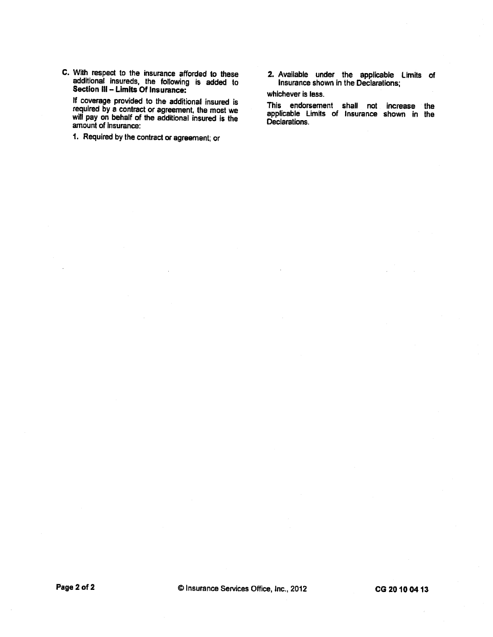C. With respect to the insurance afforded to these<br>additional insureds, the following is added to<br>Section III – Limits Of Insurance:

If coverage provided to the additional insured is required by a contract or agreement, the most we<br>will pay on behalf of the additional insured is the amount of insurance:

- 1. Required by the contract or agreement; or
- 2. Available under the applicable Limits of<br>insurance shown in the Declarations;

whichever is less.

This endorsement shall not increase the<br>applicable Limits of Insurance shown in the Declarations.